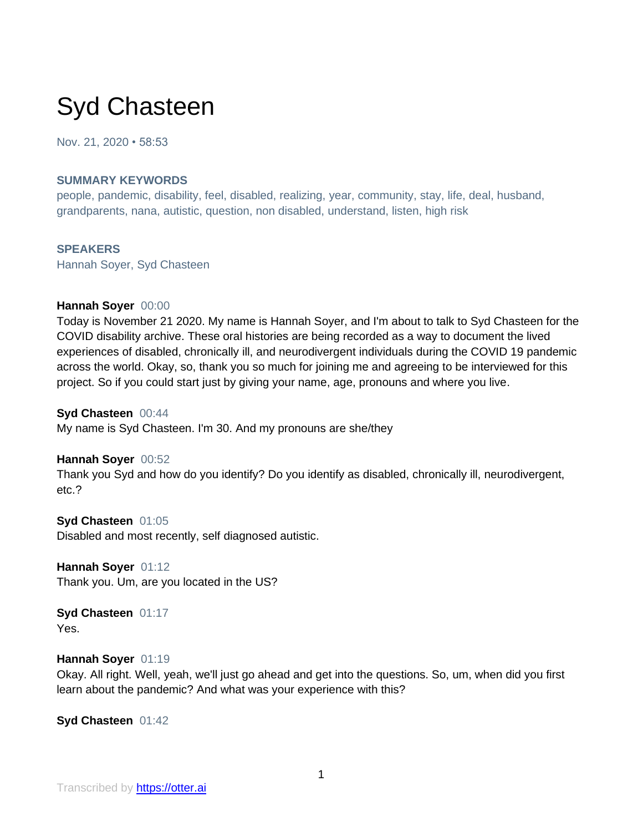# Syd Chasteen

Nov. 21, 2020 • 58:53

#### **SUMMARY KEYWORDS**

people, pandemic, disability, feel, disabled, realizing, year, community, stay, life, deal, husband, grandparents, nana, autistic, question, non disabled, understand, listen, high risk

# **SPEAKERS**

Hannah Soyer, Syd Chasteen

#### **Hannah Soyer** 00:00

Today is November 21 2020. My name is Hannah Soyer, and I'm about to talk to Syd Chasteen for the COVID disability archive. These oral histories are being recorded as a way to document the lived experiences of disabled, chronically ill, and neurodivergent individuals during the COVID 19 pandemic across the world. Okay, so, thank you so much for joining me and agreeing to be interviewed for this project. So if you could start just by giving your name, age, pronouns and where you live.

#### **Syd Chasteen** 00:44

My name is Syd Chasteen. I'm 30. And my pronouns are she/they

#### **Hannah Soyer** 00:52

Thank you Syd and how do you identify? Do you identify as disabled, chronically ill, neurodivergent, etc.?

**Syd Chasteen** 01:05 Disabled and most recently, self diagnosed autistic.

**Hannah Soyer** 01:12 Thank you. Um, are you located in the US?

**Syd Chasteen** 01:17 Yes.

#### **Hannah Soyer** 01:19

Okay. All right. Well, yeah, we'll just go ahead and get into the questions. So, um, when did you first learn about the pandemic? And what was your experience with this?

**Syd Chasteen** 01:42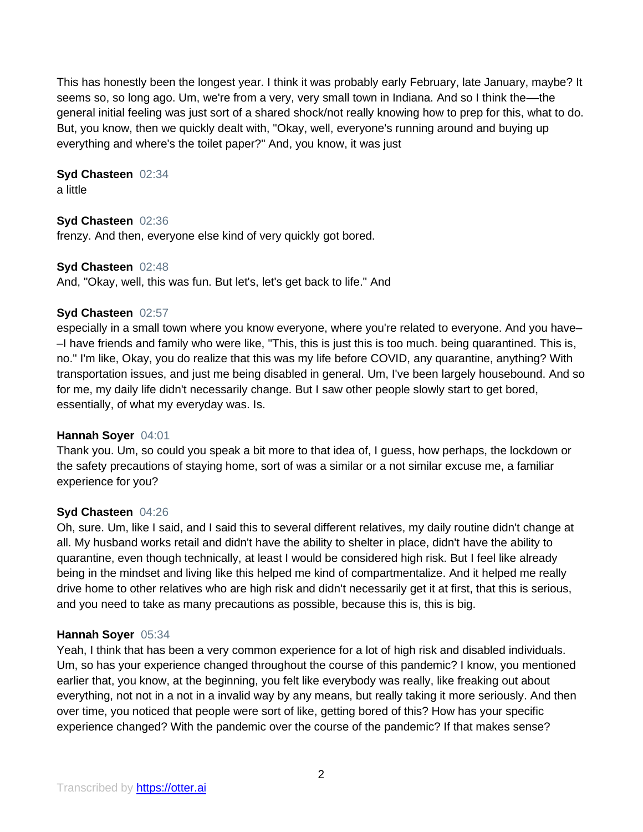This has honestly been the longest year. I think it was probably early February, late January, maybe? It seems so, so long ago. Um, we're from a very, very small town in Indiana. And so I think the—the general initial feeling was just sort of a shared shock/not really knowing how to prep for this, what to do. But, you know, then we quickly dealt with, "Okay, well, everyone's running around and buying up everything and where's the toilet paper?" And, you know, it was just

# **Syd Chasteen** 02:34

a little

# **Syd Chasteen** 02:36

frenzy. And then, everyone else kind of very quickly got bored.

# **Syd Chasteen** 02:48

And, "Okay, well, this was fun. But let's, let's get back to life." And

# **Syd Chasteen** 02:57

especially in a small town where you know everyone, where you're related to everyone. And you have– –I have friends and family who were like, "This, this is just this is too much. being quarantined. This is, no." I'm like, Okay, you do realize that this was my life before COVID, any quarantine, anything? With transportation issues, and just me being disabled in general. Um, I've been largely housebound. And so for me, my daily life didn't necessarily change. But I saw other people slowly start to get bored, essentially, of what my everyday was. Is.

# **Hannah Soyer** 04:01

Thank you. Um, so could you speak a bit more to that idea of, I guess, how perhaps, the lockdown or the safety precautions of staying home, sort of was a similar or a not similar excuse me, a familiar experience for you?

# **Syd Chasteen** 04:26

Oh, sure. Um, like I said, and I said this to several different relatives, my daily routine didn't change at all. My husband works retail and didn't have the ability to shelter in place, didn't have the ability to quarantine, even though technically, at least I would be considered high risk. But I feel like already being in the mindset and living like this helped me kind of compartmentalize. And it helped me really drive home to other relatives who are high risk and didn't necessarily get it at first, that this is serious, and you need to take as many precautions as possible, because this is, this is big.

# **Hannah Soyer** 05:34

Yeah, I think that has been a very common experience for a lot of high risk and disabled individuals. Um, so has your experience changed throughout the course of this pandemic? I know, you mentioned earlier that, you know, at the beginning, you felt like everybody was really, like freaking out about everything, not not in a not in a invalid way by any means, but really taking it more seriously. And then over time, you noticed that people were sort of like, getting bored of this? How has your specific experience changed? With the pandemic over the course of the pandemic? If that makes sense?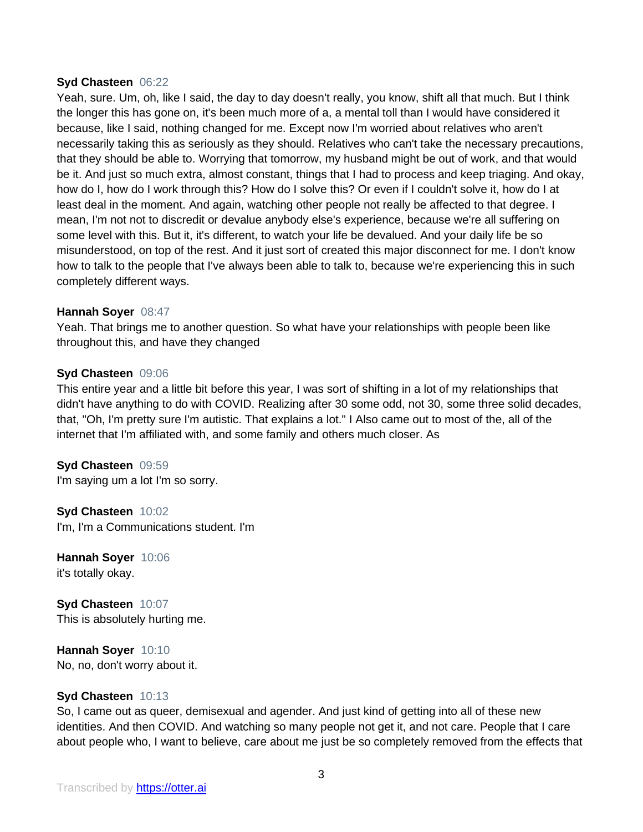#### **Syd Chasteen** 06:22

Yeah, sure. Um, oh, like I said, the day to day doesn't really, you know, shift all that much. But I think the longer this has gone on, it's been much more of a, a mental toll than I would have considered it because, like I said, nothing changed for me. Except now I'm worried about relatives who aren't necessarily taking this as seriously as they should. Relatives who can't take the necessary precautions, that they should be able to. Worrying that tomorrow, my husband might be out of work, and that would be it. And just so much extra, almost constant, things that I had to process and keep triaging. And okay, how do I, how do I work through this? How do I solve this? Or even if I couldn't solve it, how do I at least deal in the moment. And again, watching other people not really be affected to that degree. I mean, I'm not not to discredit or devalue anybody else's experience, because we're all suffering on some level with this. But it, it's different, to watch your life be devalued. And your daily life be so misunderstood, on top of the rest. And it just sort of created this major disconnect for me. I don't know how to talk to the people that I've always been able to talk to, because we're experiencing this in such completely different ways.

#### **Hannah Soyer** 08:47

Yeah. That brings me to another question. So what have your relationships with people been like throughout this, and have they changed

#### **Syd Chasteen** 09:06

This entire year and a little bit before this year, I was sort of shifting in a lot of my relationships that didn't have anything to do with COVID. Realizing after 30 some odd, not 30, some three solid decades, that, "Oh, I'm pretty sure I'm autistic. That explains a lot." I Also came out to most of the, all of the internet that I'm affiliated with, and some family and others much closer. As

**Syd Chasteen** 09:59 I'm saying um a lot I'm so sorry.

**Syd Chasteen** 10:02 I'm, I'm a Communications student. I'm

**Hannah Soyer** 10:06 it's totally okay.

**Syd Chasteen** 10:07 This is absolutely hurting me.

**Hannah Soyer** 10:10 No, no, don't worry about it.

#### **Syd Chasteen** 10:13

So, I came out as queer, demisexual and agender. And just kind of getting into all of these new identities. And then COVID. And watching so many people not get it, and not care. People that I care about people who, I want to believe, care about me just be so completely removed from the effects that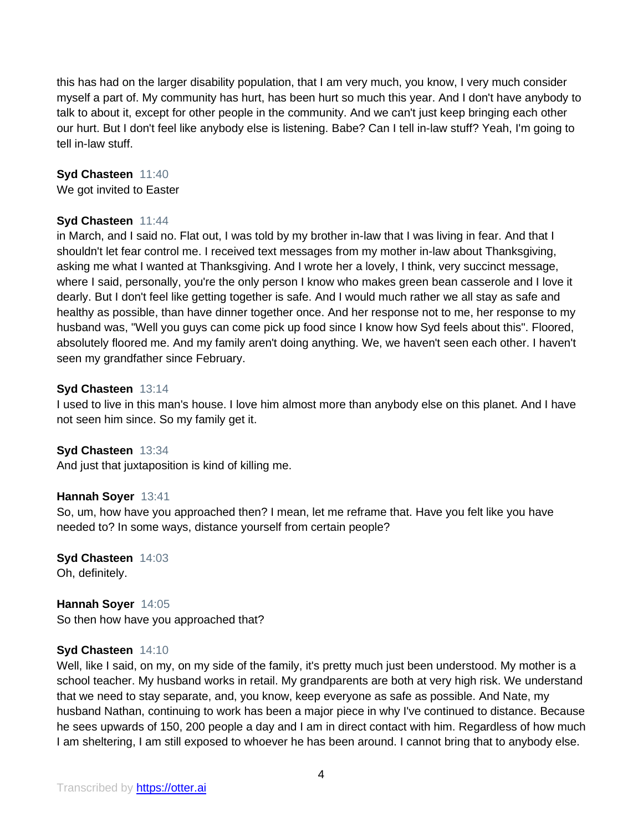this has had on the larger disability population, that I am very much, you know, I very much consider myself a part of. My community has hurt, has been hurt so much this year. And I don't have anybody to talk to about it, except for other people in the community. And we can't just keep bringing each other our hurt. But I don't feel like anybody else is listening. Babe? Can I tell in-law stuff? Yeah, I'm going to tell in-law stuff.

**Syd Chasteen** 11:40 We got invited to Easter

# **Syd Chasteen** 11:44

in March, and I said no. Flat out, I was told by my brother in-law that I was living in fear. And that I shouldn't let fear control me. I received text messages from my mother in-law about Thanksgiving, asking me what I wanted at Thanksgiving. And I wrote her a lovely, I think, very succinct message, where I said, personally, you're the only person I know who makes green bean casserole and I love it dearly. But I don't feel like getting together is safe. And I would much rather we all stay as safe and healthy as possible, than have dinner together once. And her response not to me, her response to my husband was, "Well you guys can come pick up food since I know how Syd feels about this". Floored, absolutely floored me. And my family aren't doing anything. We, we haven't seen each other. I haven't seen my grandfather since February.

#### **Syd Chasteen** 13:14

I used to live in this man's house. I love him almost more than anybody else on this planet. And I have not seen him since. So my family get it.

#### **Syd Chasteen** 13:34

And just that juxtaposition is kind of killing me.

#### **Hannah Soyer** 13:41

So, um, how have you approached then? I mean, let me reframe that. Have you felt like you have needed to? In some ways, distance yourself from certain people?

**Syd Chasteen** 14:03 Oh, definitely.

**Hannah Soyer** 14:05 So then how have you approached that?

#### **Syd Chasteen** 14:10

Well, like I said, on my, on my side of the family, it's pretty much just been understood. My mother is a school teacher. My husband works in retail. My grandparents are both at very high risk. We understand that we need to stay separate, and, you know, keep everyone as safe as possible. And Nate, my husband Nathan, continuing to work has been a major piece in why I've continued to distance. Because he sees upwards of 150, 200 people a day and I am in direct contact with him. Regardless of how much I am sheltering, I am still exposed to whoever he has been around. I cannot bring that to anybody else.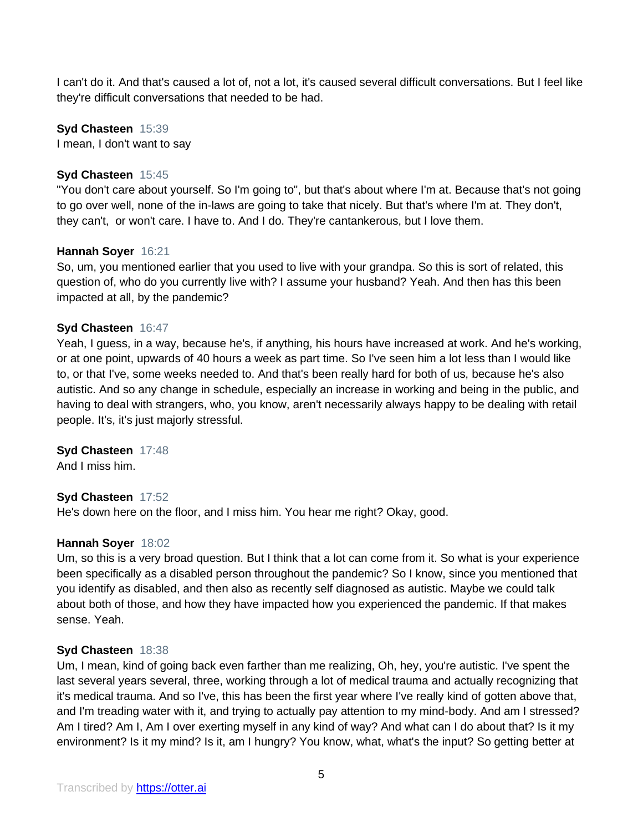I can't do it. And that's caused a lot of, not a lot, it's caused several difficult conversations. But I feel like they're difficult conversations that needed to be had.

**Syd Chasteen** 15:39 I mean, I don't want to say

#### **Syd Chasteen** 15:45

"You don't care about yourself. So I'm going to", but that's about where I'm at. Because that's not going to go over well, none of the in-laws are going to take that nicely. But that's where I'm at. They don't, they can't, or won't care. I have to. And I do. They're cantankerous, but I love them.

#### **Hannah Soyer** 16:21

So, um, you mentioned earlier that you used to live with your grandpa. So this is sort of related, this question of, who do you currently live with? I assume your husband? Yeah. And then has this been impacted at all, by the pandemic?

#### **Syd Chasteen** 16:47

Yeah, I guess, in a way, because he's, if anything, his hours have increased at work. And he's working, or at one point, upwards of 40 hours a week as part time. So I've seen him a lot less than I would like to, or that I've, some weeks needed to. And that's been really hard for both of us, because he's also autistic. And so any change in schedule, especially an increase in working and being in the public, and having to deal with strangers, who, you know, aren't necessarily always happy to be dealing with retail people. It's, it's just majorly stressful.

#### **Syd Chasteen** 17:48

And I miss him.

#### **Syd Chasteen** 17:52

He's down here on the floor, and I miss him. You hear me right? Okay, good.

#### **Hannah Soyer** 18:02

Um, so this is a very broad question. But I think that a lot can come from it. So what is your experience been specifically as a disabled person throughout the pandemic? So I know, since you mentioned that you identify as disabled, and then also as recently self diagnosed as autistic. Maybe we could talk about both of those, and how they have impacted how you experienced the pandemic. If that makes sense. Yeah.

#### **Syd Chasteen** 18:38

Um, I mean, kind of going back even farther than me realizing, Oh, hey, you're autistic. I've spent the last several years several, three, working through a lot of medical trauma and actually recognizing that it's medical trauma. And so I've, this has been the first year where I've really kind of gotten above that, and I'm treading water with it, and trying to actually pay attention to my mind-body. And am I stressed? Am I tired? Am I, Am I over exerting myself in any kind of way? And what can I do about that? Is it my environment? Is it my mind? Is it, am I hungry? You know, what, what's the input? So getting better at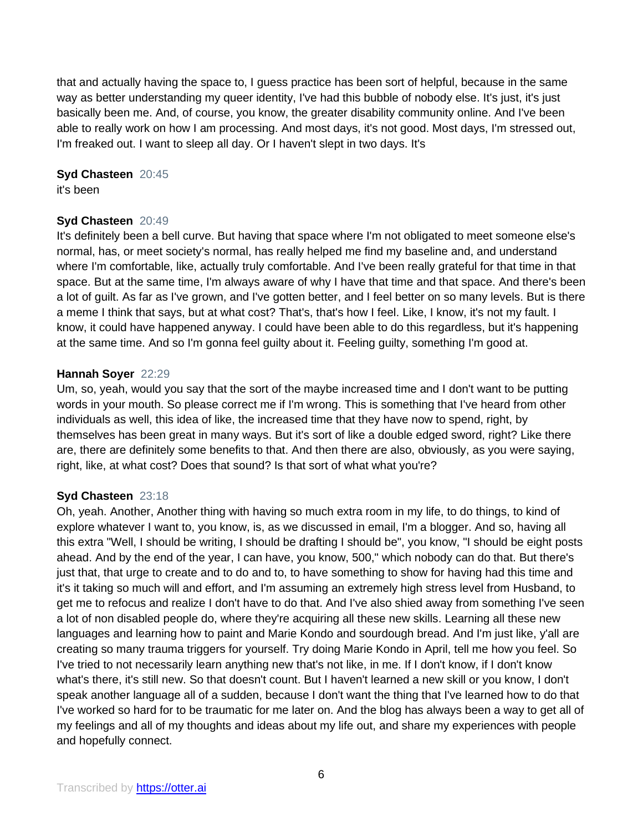that and actually having the space to, I guess practice has been sort of helpful, because in the same way as better understanding my queer identity, I've had this bubble of nobody else. It's just, it's just basically been me. And, of course, you know, the greater disability community online. And I've been able to really work on how I am processing. And most days, it's not good. Most days, I'm stressed out, I'm freaked out. I want to sleep all day. Or I haven't slept in two days. It's

**Syd Chasteen** 20:45

it's been

# **Syd Chasteen** 20:49

It's definitely been a bell curve. But having that space where I'm not obligated to meet someone else's normal, has, or meet society's normal, has really helped me find my baseline and, and understand where I'm comfortable, like, actually truly comfortable. And I've been really grateful for that time in that space. But at the same time, I'm always aware of why I have that time and that space. And there's been a lot of guilt. As far as I've grown, and I've gotten better, and I feel better on so many levels. But is there a meme I think that says, but at what cost? That's, that's how I feel. Like, I know, it's not my fault. I know, it could have happened anyway. I could have been able to do this regardless, but it's happening at the same time. And so I'm gonna feel guilty about it. Feeling guilty, something I'm good at.

# **Hannah Soyer** 22:29

Um, so, yeah, would you say that the sort of the maybe increased time and I don't want to be putting words in your mouth. So please correct me if I'm wrong. This is something that I've heard from other individuals as well, this idea of like, the increased time that they have now to spend, right, by themselves has been great in many ways. But it's sort of like a double edged sword, right? Like there are, there are definitely some benefits to that. And then there are also, obviously, as you were saying, right, like, at what cost? Does that sound? Is that sort of what what you're?

# **Syd Chasteen** 23:18

Oh, yeah. Another, Another thing with having so much extra room in my life, to do things, to kind of explore whatever I want to, you know, is, as we discussed in email, I'm a blogger. And so, having all this extra "Well, I should be writing, I should be drafting I should be", you know, "I should be eight posts ahead. And by the end of the year, I can have, you know, 500," which nobody can do that. But there's just that, that urge to create and to do and to, to have something to show for having had this time and it's it taking so much will and effort, and I'm assuming an extremely high stress level from Husband, to get me to refocus and realize I don't have to do that. And I've also shied away from something I've seen a lot of non disabled people do, where they're acquiring all these new skills. Learning all these new languages and learning how to paint and Marie Kondo and sourdough bread. And I'm just like, y'all are creating so many trauma triggers for yourself. Try doing Marie Kondo in April, tell me how you feel. So I've tried to not necessarily learn anything new that's not like, in me. If I don't know, if I don't know what's there, it's still new. So that doesn't count. But I haven't learned a new skill or you know, I don't speak another language all of a sudden, because I don't want the thing that I've learned how to do that I've worked so hard for to be traumatic for me later on. And the blog has always been a way to get all of my feelings and all of my thoughts and ideas about my life out, and share my experiences with people and hopefully connect.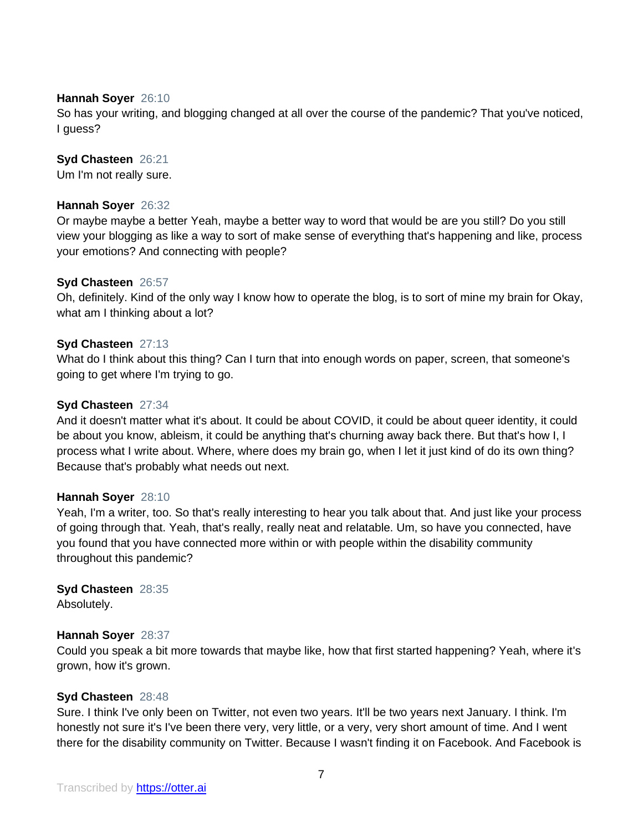#### **Hannah Soyer** 26:10

So has your writing, and blogging changed at all over the course of the pandemic? That you've noticed, I guess?

# **Syd Chasteen** 26:21

Um I'm not really sure.

# **Hannah Soyer** 26:32

Or maybe maybe a better Yeah, maybe a better way to word that would be are you still? Do you still view your blogging as like a way to sort of make sense of everything that's happening and like, process your emotions? And connecting with people?

#### **Syd Chasteen** 26:57

Oh, definitely. Kind of the only way I know how to operate the blog, is to sort of mine my brain for Okay, what am I thinking about a lot?

#### **Syd Chasteen** 27:13

What do I think about this thing? Can I turn that into enough words on paper, screen, that someone's going to get where I'm trying to go.

#### **Syd Chasteen** 27:34

And it doesn't matter what it's about. It could be about COVID, it could be about queer identity, it could be about you know, ableism, it could be anything that's churning away back there. But that's how I, I process what I write about. Where, where does my brain go, when I let it just kind of do its own thing? Because that's probably what needs out next.

#### **Hannah Soyer** 28:10

Yeah, I'm a writer, too. So that's really interesting to hear you talk about that. And just like your process of going through that. Yeah, that's really, really neat and relatable. Um, so have you connected, have you found that you have connected more within or with people within the disability community throughout this pandemic?

#### **Syd Chasteen** 28:35 Absolutely.

# **Hannah Soyer** 28:37

Could you speak a bit more towards that maybe like, how that first started happening? Yeah, where it's grown, how it's grown.

#### **Syd Chasteen** 28:48

Sure. I think I've only been on Twitter, not even two years. It'll be two years next January. I think. I'm honestly not sure it's I've been there very, very little, or a very, very short amount of time. And I went there for the disability community on Twitter. Because I wasn't finding it on Facebook. And Facebook is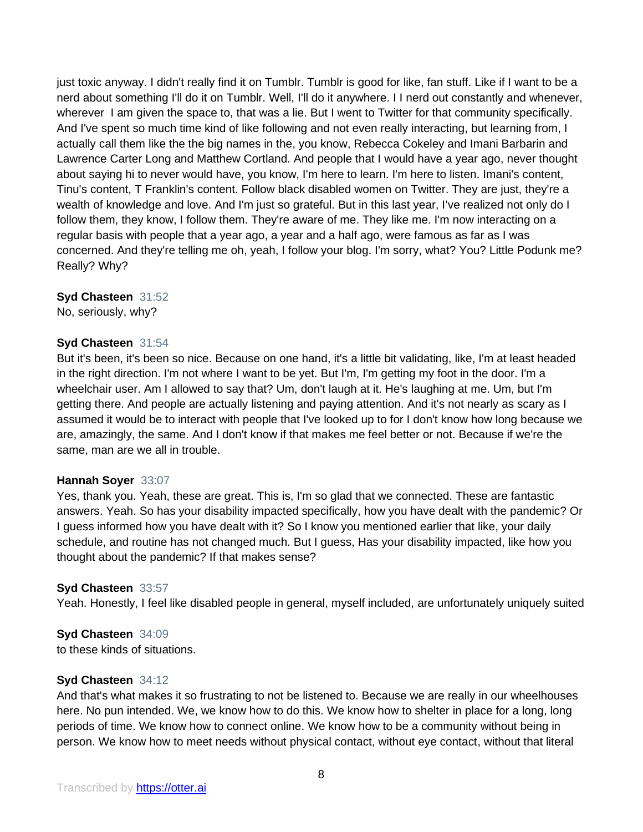just toxic anyway. I didn't really find it on Tumblr. Tumblr is good for like, fan stuff. Like if I want to be a nerd about something I'll do it on Tumblr. Well, I'll do it anywhere. I I nerd out constantly and whenever, wherever I am given the space to, that was a lie. But I went to Twitter for that community specifically. And I've spent so much time kind of like following and not even really interacting, but learning from, I actually call them like the the big names in the, you know, Rebecca Cokeley and Imani Barbarin and Lawrence Carter Long and Matthew Cortland. And people that I would have a year ago, never thought about saying hi to never would have, you know, I'm here to learn. I'm here to listen. Imani's content, Tinu's content, T Franklin's content. Follow black disabled women on Twitter. They are just, they're a wealth of knowledge and love. And I'm just so grateful. But in this last year, I've realized not only do I follow them, they know, I follow them. They're aware of me. They like me. I'm now interacting on a regular basis with people that a year ago, a year and a half ago, were famous as far as I was concerned. And they're telling me oh, yeah, I follow your blog. I'm sorry, what? You? Little Podunk me? Really? Why?

#### **Syd Chasteen** 31:52

No, seriously, why?

#### **Syd Chasteen** 31:54

But it's been, it's been so nice. Because on one hand, it's a little bit validating, like, I'm at least headed in the right direction. I'm not where I want to be yet. But I'm, I'm getting my foot in the door. I'm a wheelchair user. Am I allowed to say that? Um, don't laugh at it. He's laughing at me. Um, but I'm getting there. And people are actually listening and paying attention. And it's not nearly as scary as I assumed it would be to interact with people that I've looked up to for I don't know how long because we are, amazingly, the same. And I don't know if that makes me feel better or not. Because if we're the same, man are we all in trouble.

#### **Hannah Soyer** 33:07

Yes, thank you. Yeah, these are great. This is, I'm so glad that we connected. These are fantastic answers. Yeah. So has your disability impacted specifically, how you have dealt with the pandemic? Or I guess informed how you have dealt with it? So I know you mentioned earlier that like, your daily schedule, and routine has not changed much. But I guess, Has your disability impacted, like how you thought about the pandemic? If that makes sense?

# **Syd Chasteen** 33:57

Yeah. Honestly, I feel like disabled people in general, myself included, are unfortunately uniquely suited

# **Syd Chasteen** 34:09

to these kinds of situations.

#### **Syd Chasteen** 34:12

And that's what makes it so frustrating to not be listened to. Because we are really in our wheelhouses here. No pun intended. We, we know how to do this. We know how to shelter in place for a long, long periods of time. We know how to connect online. We know how to be a community without being in person. We know how to meet needs without physical contact, without eye contact, without that literal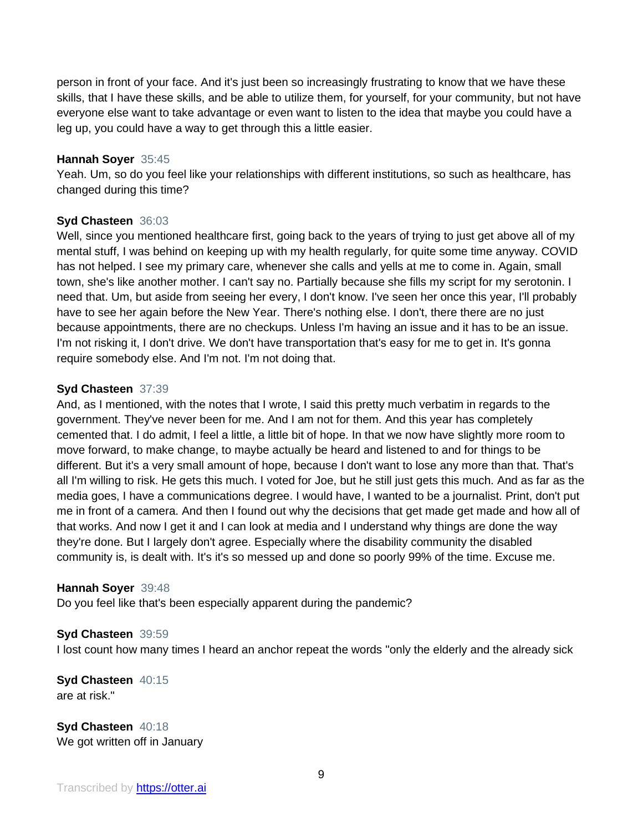person in front of your face. And it's just been so increasingly frustrating to know that we have these skills, that I have these skills, and be able to utilize them, for yourself, for your community, but not have everyone else want to take advantage or even want to listen to the idea that maybe you could have a leg up, you could have a way to get through this a little easier.

# **Hannah Soyer** 35:45

Yeah. Um, so do you feel like your relationships with different institutions, so such as healthcare, has changed during this time?

# **Syd Chasteen** 36:03

Well, since you mentioned healthcare first, going back to the years of trying to just get above all of my mental stuff, I was behind on keeping up with my health regularly, for quite some time anyway. COVID has not helped. I see my primary care, whenever she calls and yells at me to come in. Again, small town, she's like another mother. I can't say no. Partially because she fills my script for my serotonin. I need that. Um, but aside from seeing her every, I don't know. I've seen her once this year, I'll probably have to see her again before the New Year. There's nothing else. I don't, there there are no just because appointments, there are no checkups. Unless I'm having an issue and it has to be an issue. I'm not risking it, I don't drive. We don't have transportation that's easy for me to get in. It's gonna require somebody else. And I'm not. I'm not doing that.

# **Syd Chasteen** 37:39

And, as I mentioned, with the notes that I wrote, I said this pretty much verbatim in regards to the government. They've never been for me. And I am not for them. And this year has completely cemented that. I do admit, I feel a little, a little bit of hope. In that we now have slightly more room to move forward, to make change, to maybe actually be heard and listened to and for things to be different. But it's a very small amount of hope, because I don't want to lose any more than that. That's all I'm willing to risk. He gets this much. I voted for Joe, but he still just gets this much. And as far as the media goes, I have a communications degree. I would have, I wanted to be a journalist. Print, don't put me in front of a camera. And then I found out why the decisions that get made get made and how all of that works. And now I get it and I can look at media and I understand why things are done the way they're done. But I largely don't agree. Especially where the disability community the disabled community is, is dealt with. It's it's so messed up and done so poorly 99% of the time. Excuse me.

#### **Hannah Soyer** 39:48

Do you feel like that's been especially apparent during the pandemic?

# **Syd Chasteen** 39:59

I lost count how many times I heard an anchor repeat the words "only the elderly and the already sick

**Syd Chasteen** 40:15 are at risk."

**Syd Chasteen** 40:18 We got written off in January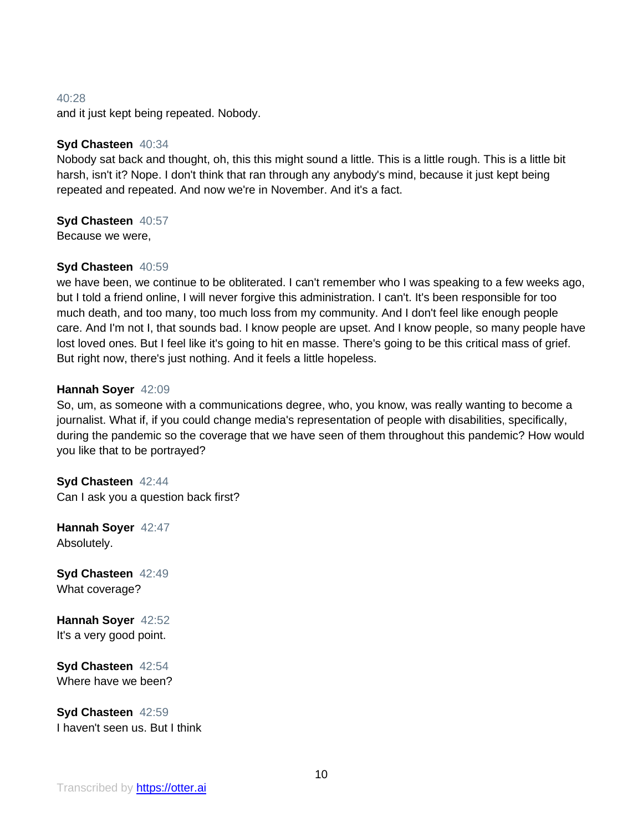#### 40:28

and it just kept being repeated. Nobody.

# **Syd Chasteen** 40:34

Nobody sat back and thought, oh, this this might sound a little. This is a little rough. This is a little bit harsh, isn't it? Nope. I don't think that ran through any anybody's mind, because it just kept being repeated and repeated. And now we're in November. And it's a fact.

#### **Syd Chasteen** 40:57

Because we were,

# **Syd Chasteen** 40:59

we have been, we continue to be obliterated. I can't remember who I was speaking to a few weeks ago, but I told a friend online, I will never forgive this administration. I can't. It's been responsible for too much death, and too many, too much loss from my community. And I don't feel like enough people care. And I'm not I, that sounds bad. I know people are upset. And I know people, so many people have lost loved ones. But I feel like it's going to hit en masse. There's going to be this critical mass of grief. But right now, there's just nothing. And it feels a little hopeless.

#### **Hannah Soyer** 42:09

So, um, as someone with a communications degree, who, you know, was really wanting to become a journalist. What if, if you could change media's representation of people with disabilities, specifically, during the pandemic so the coverage that we have seen of them throughout this pandemic? How would you like that to be portrayed?

**Syd Chasteen** 42:44 Can I ask you a question back first?

**Hannah Soyer** 42:47 Absolutely.

**Syd Chasteen** 42:49 What coverage?

**Hannah Soyer** 42:52 It's a very good point.

**Syd Chasteen** 42:54 Where have we been?

**Syd Chasteen** 42:59 I haven't seen us. But I think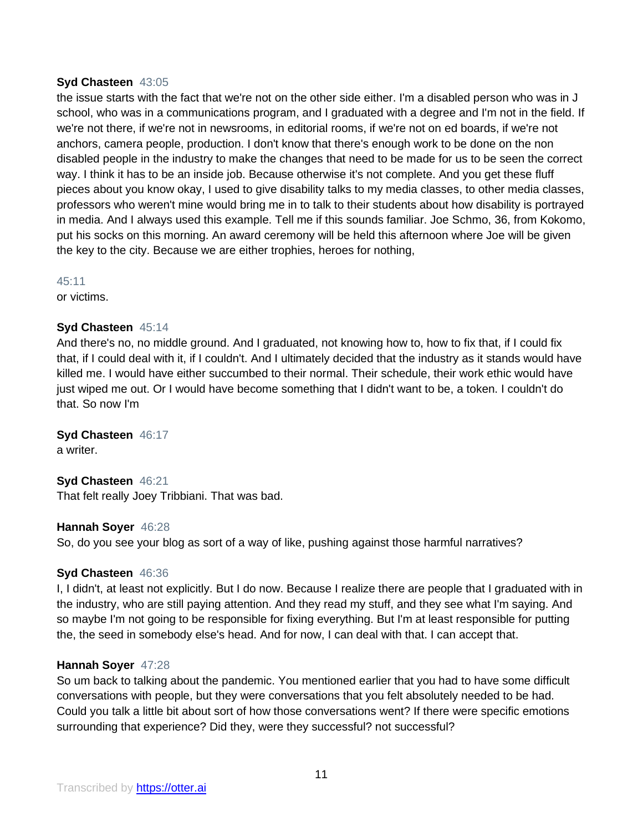#### **Syd Chasteen** 43:05

the issue starts with the fact that we're not on the other side either. I'm a disabled person who was in J school, who was in a communications program, and I graduated with a degree and I'm not in the field. If we're not there, if we're not in newsrooms, in editorial rooms, if we're not on ed boards, if we're not anchors, camera people, production. I don't know that there's enough work to be done on the non disabled people in the industry to make the changes that need to be made for us to be seen the correct way. I think it has to be an inside job. Because otherwise it's not complete. And you get these fluff pieces about you know okay, I used to give disability talks to my media classes, to other media classes, professors who weren't mine would bring me in to talk to their students about how disability is portrayed in media. And I always used this example. Tell me if this sounds familiar. Joe Schmo, 36, from Kokomo, put his socks on this morning. An award ceremony will be held this afternoon where Joe will be given the key to the city. Because we are either trophies, heroes for nothing,

45:11

or victims.

# **Syd Chasteen** 45:14

And there's no, no middle ground. And I graduated, not knowing how to, how to fix that, if I could fix that, if I could deal with it, if I couldn't. And I ultimately decided that the industry as it stands would have killed me. I would have either succumbed to their normal. Their schedule, their work ethic would have just wiped me out. Or I would have become something that I didn't want to be, a token. I couldn't do that. So now I'm

**Syd Chasteen** 46:17

a writer.

**Syd Chasteen** 46:21 That felt really Joey Tribbiani. That was bad.

#### **Hannah Soyer** 46:28

So, do you see your blog as sort of a way of like, pushing against those harmful narratives?

#### **Syd Chasteen** 46:36

I, I didn't, at least not explicitly. But I do now. Because I realize there are people that I graduated with in the industry, who are still paying attention. And they read my stuff, and they see what I'm saying. And so maybe I'm not going to be responsible for fixing everything. But I'm at least responsible for putting the, the seed in somebody else's head. And for now, I can deal with that. I can accept that.

#### **Hannah Soyer** 47:28

So um back to talking about the pandemic. You mentioned earlier that you had to have some difficult conversations with people, but they were conversations that you felt absolutely needed to be had. Could you talk a little bit about sort of how those conversations went? If there were specific emotions surrounding that experience? Did they, were they successful? not successful?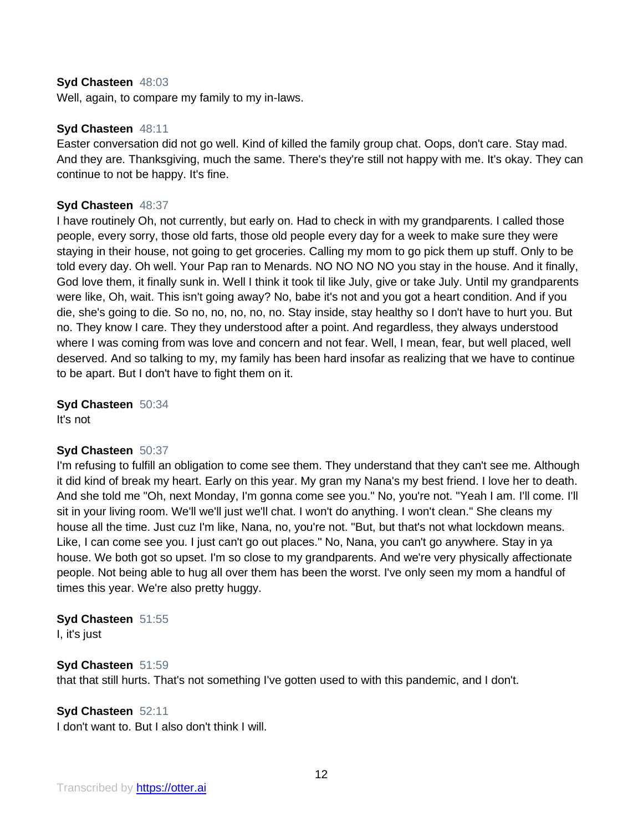#### **Syd Chasteen** 48:03

Well, again, to compare my family to my in-laws.

#### **Syd Chasteen** 48:11

Easter conversation did not go well. Kind of killed the family group chat. Oops, don't care. Stay mad. And they are. Thanksgiving, much the same. There's they're still not happy with me. It's okay. They can continue to not be happy. It's fine.

#### **Syd Chasteen** 48:37

I have routinely Oh, not currently, but early on. Had to check in with my grandparents. I called those people, every sorry, those old farts, those old people every day for a week to make sure they were staying in their house, not going to get groceries. Calling my mom to go pick them up stuff. Only to be told every day. Oh well. Your Pap ran to Menards. NO NO NO NO you stay in the house. And it finally, God love them, it finally sunk in. Well I think it took til like July, give or take July. Until my grandparents were like, Oh, wait. This isn't going away? No, babe it's not and you got a heart condition. And if you die, she's going to die. So no, no, no, no, no. Stay inside, stay healthy so I don't have to hurt you. But no. They know I care. They they understood after a point. And regardless, they always understood where I was coming from was love and concern and not fear. Well, I mean, fear, but well placed, well deserved. And so talking to my, my family has been hard insofar as realizing that we have to continue to be apart. But I don't have to fight them on it.

**Syd Chasteen** 50:34 It's not

#### **Syd Chasteen** 50:37

I'm refusing to fulfill an obligation to come see them. They understand that they can't see me. Although it did kind of break my heart. Early on this year. My gran my Nana's my best friend. I love her to death. And she told me "Oh, next Monday, I'm gonna come see you." No, you're not. "Yeah I am. I'll come. I'll sit in your living room. We'll we'll just we'll chat. I won't do anything. I won't clean." She cleans my house all the time. Just cuz I'm like, Nana, no, you're not. "But, but that's not what lockdown means. Like, I can come see you. I just can't go out places." No, Nana, you can't go anywhere. Stay in ya house. We both got so upset. I'm so close to my grandparents. And we're very physically affectionate people. Not being able to hug all over them has been the worst. I've only seen my mom a handful of times this year. We're also pretty huggy.

#### **Syd Chasteen** 51:55

I, it's just

# **Syd Chasteen** 51:59

that that still hurts. That's not something I've gotten used to with this pandemic, and I don't.

# **Syd Chasteen** 52:11

I don't want to. But I also don't think I will.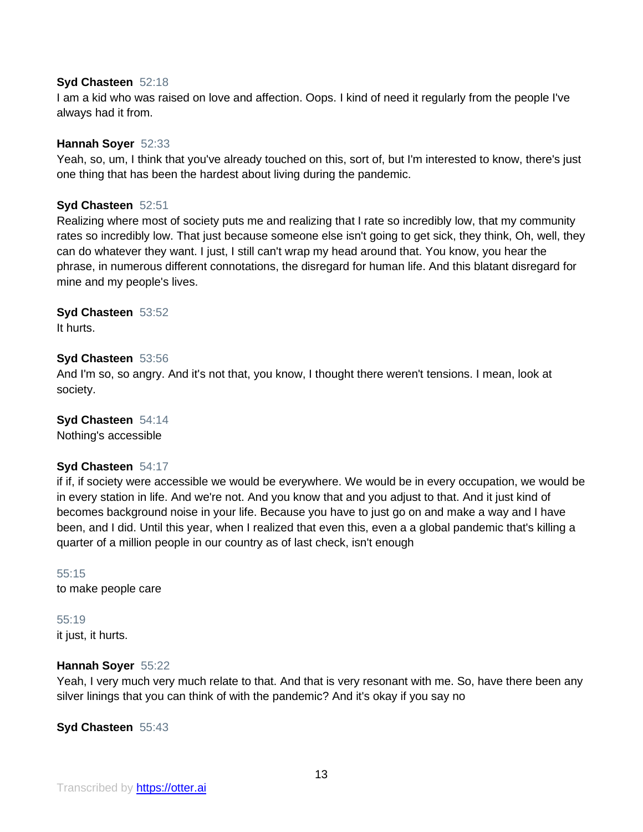#### **Syd Chasteen** 52:18

I am a kid who was raised on love and affection. Oops. I kind of need it regularly from the people I've always had it from.

#### **Hannah Soyer** 52:33

Yeah, so, um, I think that you've already touched on this, sort of, but I'm interested to know, there's just one thing that has been the hardest about living during the pandemic.

## **Syd Chasteen** 52:51

Realizing where most of society puts me and realizing that I rate so incredibly low, that my community rates so incredibly low. That just because someone else isn't going to get sick, they think, Oh, well, they can do whatever they want. I just, I still can't wrap my head around that. You know, you hear the phrase, in numerous different connotations, the disregard for human life. And this blatant disregard for mine and my people's lives.

**Syd Chasteen** 53:52 It hurts.

#### **Syd Chasteen** 53:56

And I'm so, so angry. And it's not that, you know, I thought there weren't tensions. I mean, look at society.

**Syd Chasteen** 54:14 Nothing's accessible

# **Syd Chasteen** 54:17

if if, if society were accessible we would be everywhere. We would be in every occupation, we would be in every station in life. And we're not. And you know that and you adjust to that. And it just kind of becomes background noise in your life. Because you have to just go on and make a way and I have been, and I did. Until this year, when I realized that even this, even a a global pandemic that's killing a quarter of a million people in our country as of last check, isn't enough

55:15 to make people care

55:19 it just, it hurts.

#### **Hannah Soyer** 55:22

Yeah, I very much very much relate to that. And that is very resonant with me. So, have there been any silver linings that you can think of with the pandemic? And it's okay if you say no

**Syd Chasteen** 55:43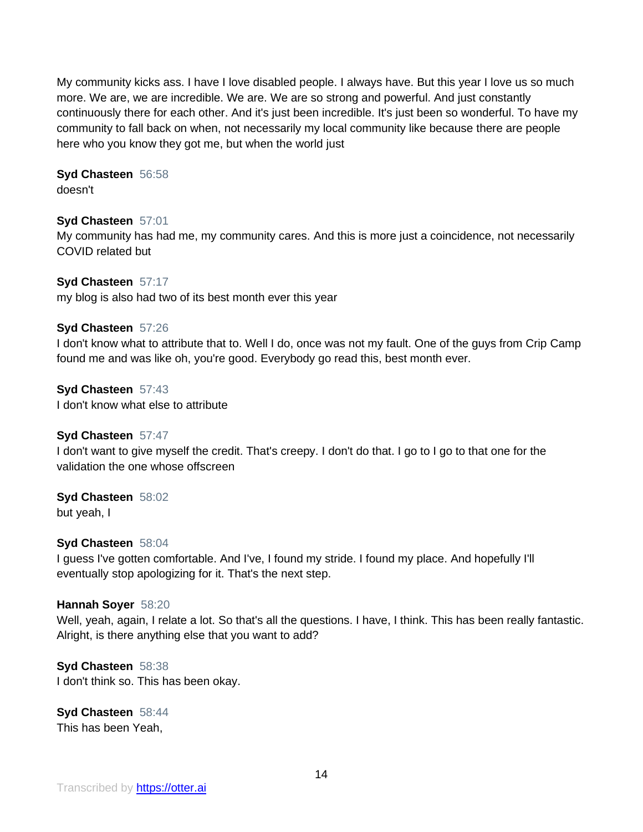My community kicks ass. I have I love disabled people. I always have. But this year I love us so much more. We are, we are incredible. We are. We are so strong and powerful. And just constantly continuously there for each other. And it's just been incredible. It's just been so wonderful. To have my community to fall back on when, not necessarily my local community like because there are people here who you know they got me, but when the world just

# **Syd Chasteen** 56:58

doesn't

# **Syd Chasteen** 57:01

My community has had me, my community cares. And this is more just a coincidence, not necessarily COVID related but

# **Syd Chasteen** 57:17

my blog is also had two of its best month ever this year

# **Syd Chasteen** 57:26

I don't know what to attribute that to. Well I do, once was not my fault. One of the guys from Crip Camp found me and was like oh, you're good. Everybody go read this, best month ever.

**Syd Chasteen** 57:43 I don't know what else to attribute

# **Syd Chasteen** 57:47

I don't want to give myself the credit. That's creepy. I don't do that. I go to I go to that one for the validation the one whose offscreen

# **Syd Chasteen** 58:02

but yeah, I

# **Syd Chasteen** 58:04

I guess I've gotten comfortable. And I've, I found my stride. I found my place. And hopefully I'll eventually stop apologizing for it. That's the next step.

# **Hannah Soyer** 58:20

Well, yeah, again, I relate a lot. So that's all the questions. I have, I think. This has been really fantastic. Alright, is there anything else that you want to add?

# **Syd Chasteen** 58:38 I don't think so. This has been okay.

**Syd Chasteen** 58:44 This has been Yeah,